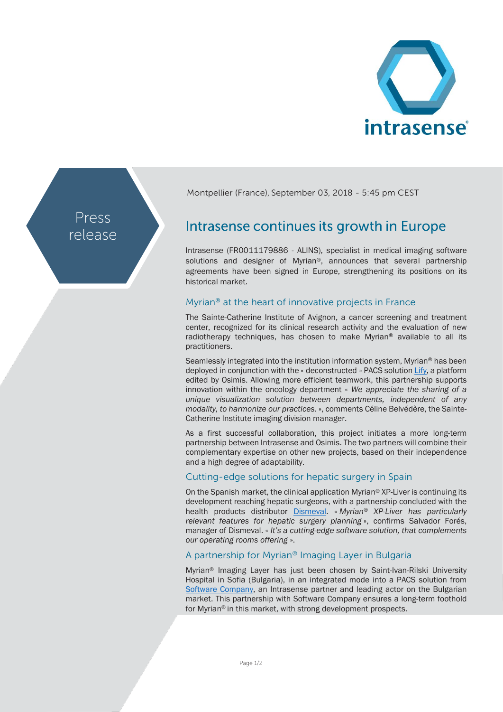

Press release Montpellier (France), September 03, 2018 - 5:45 pm CEST

# Intrasense continues its growth in Europe

Intrasense (FR0011179886 - ALINS), specialist in medical imaging software solutions and designer of Myrian®, announces that several partnership agreements have been signed in Europe, strengthening its positions on its historical market.

## Myrian® at the heart of innovative projects in France

The Sainte-Catherine Institute of Avignon, a cancer screening and treatment center, recognized for its clinical research activity and the evaluation of new radiotherapy techniques, has chosen to make Myrian® available to all its practitioners.

Seamlessly integrated into the institution information system, Myrian® has been deployed in conjunction with the « deconstructed » PACS solutio[n Lify,](https://www.lify.io/) a platform edited by Osimis. Allowing more efficient teamwork, this partnership supports innovation within the oncology department « *We appreciate the sharing of a unique visualization solution between departments, independent of any modality, to harmonize our practices.* », comments Céline Belvédère, the Sainte-Catherine Institute imaging division manager.

As a first successful collaboration, this project initiates a more long-term partnership between Intrasense and Osimis. The two partners will combine their complementary expertise on other new projects, based on their independence and a high degree of adaptability.

### Cutting-edge solutions for hepatic surgery in Spain

On the Spanish market, the clinical application Myrian® XP-Liver is continuing its development reaching hepatic surgeons, with a partnership concluded with the health products distributor [Dismeval.](http://dismeval.com/productos/programas-myrian) « *Myrian® XP-Liver has particularly relevant features for hepatic surgery planning* », confirms Salvador Forés, manager of Dismeval. « *It's a cutting-edge software solution, that complements our operating rooms offering* ».

# A partnership for Myrian® Imaging Layer in Bulgaria

Myrian® Imaging Layer has just been chosen by Saint-Ivan-Rilski University Hospital in Sofia (Bulgaria), in an integrated mode into a PACS solution from [Software Company,](http://pacsbg.com/index.php/en/) an Intrasense partner and leading actor on the Bulgarian market. This partnership with Software Company ensures a long-term foothold for Myrian® in this market, with strong development prospects.